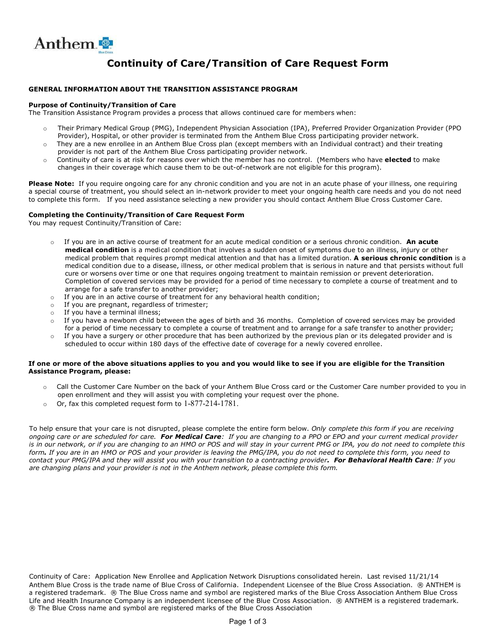

## **Continuity of Care/Transition of Care Request Form**

### **GENERAL INFORMATION ABOUT THE TRANSITION ASSISTANCE PROGRAM**

#### **Purpose of Continuity/Transition of Care**

The Transition Assistance Program provides a process that allows continued care for members when:

- o Their Primary Medical Group (PMG), Independent Physician Association (IPA), Preferred Provider Organization Provider (PPO Provider), Hospital, or other provider is terminated from the Anthem Blue Cross participating provider network.
- $\circ$  They are a new enrollee in an Anthem Blue Cross plan (except members with an Individual contract) and their treating provider is not part of the Anthem Blue Cross participating provider network.
- o Continuity of care is at risk for reasons over which the member has no control. (Members who have **elected** to make changes in their coverage which cause them to be out-of-network are not eligible for this program).

**Please Note:** If you require ongoing care for any chronic condition and you are not in an acute phase of your illness, one requiring a special course of treatment, you should select an in-network provider to meet your ongoing health care needs and you do not need to complete this form. If you need assistance selecting a new provider you should contact Anthem Blue Cross Customer Care.

#### **Completing the Continuity/Transition of Care Request Form**

You may request Continuity/Transition of Care:

- o If you are in an active course of treatment for an acute medical condition or a serious chronic condition. **An acute medical condition** is a medical condition that involves a sudden onset of symptoms due to an illness, injury or other medical problem that requires prompt medical attention and that has a limited duration. **A serious chronic condition** is a medical condition due to a disease, illness, or other medical problem that is serious in nature and that persists without full cure or worsens over time or one that requires ongoing treatment to maintain remission or prevent deterioration. Completion of covered services may be provided for a period of time necessary to complete a course of treatment and to arrange for a safe transfer to another provider;
- $\circ$  If you are in an active course of treatment for any behavioral health condition;
- o If you are pregnant, regardless of trimester;
- o If you have a terminal illness;
- $\circ$  If you have a newborn child between the ages of birth and 36 months. Completion of covered services may be provided for a period of time necessary to complete a course of treatment and to arrange for a safe transfer to another provider;
- $\circ$  If you have a surgery or other procedure that has been authorized by the previous plan or its delegated provider and is scheduled to occur within 180 days of the effective date of coverage for a newly covered enrollee.

#### **If one or more of the above situations applies to you and you would like to see if you are eligible for the Transition Assistance Program, please:**

- o Call the Customer Care Number on the back of your Anthem Blue Cross card or the Customer Care number provided to you in open enrollment and they will assist you with completing your request over the phone.
- o Or, fax this completed request form to 1-877-214-1781.

To help ensure that your care is not disrupted, please complete the entire form below. *Only complete this form if you are receiving ongoing care or are scheduled for care. For Medical Care: If you are changing to a PPO or EPO and your current medical provider is in our network, or if you are changing to an HMO or POS and will stay in your current PMG or IPA, you do not need to complete this form. If you are in an HMO or POS and your provider is leaving the PMG/IPA, you do not need to complete this form, you need to contact your PMG/IPA and they will assist you with your transition to a contracting provider. For Behavioral Health Care: If you are changing plans and your provider is not in the Anthem network, please complete this form.* 

Continuity of Care: Application New Enrollee and Application Network Disruptions consolidated herein. Last revised 11/21/14 Anthem Blue Cross is the trade name of Blue Cross of California. Independent Licensee of the Blue Cross Association. ® ANTHEM is a registered trademark. ® The Blue Cross name and symbol are registered marks of the Blue Cross Association Anthem Blue Cross Life and Health Insurance Company is an independent licensee of the Blue Cross Association. ® ANTHEM is a registered trademark. ® The Blue Cross name and symbol are registered marks of the Blue Cross Association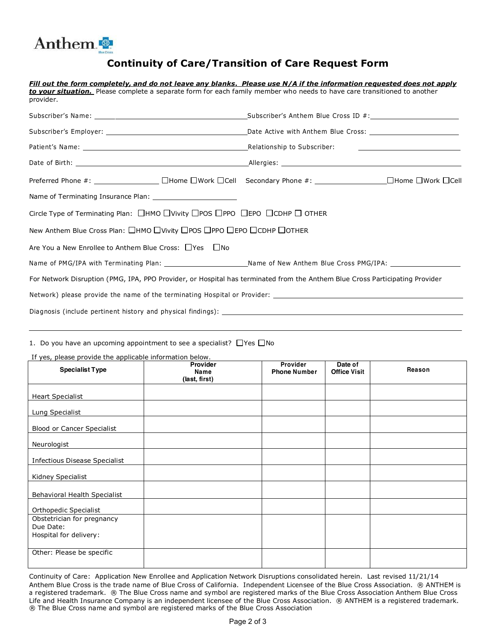

### **Continuity of Care/Transition of Care Request Form**

|                                                                                                                                       | Fill out the form completely, and do not leave any blanks. Please use N/A if the information requested does not apply                                                                                                         |  |  |
|---------------------------------------------------------------------------------------------------------------------------------------|-------------------------------------------------------------------------------------------------------------------------------------------------------------------------------------------------------------------------------|--|--|
| to vour situation. Please complete a separate form for each family member who needs to have care transitioned to another<br>provider. |                                                                                                                                                                                                                               |  |  |
|                                                                                                                                       | Subscriber's Name: 1990 Contract Contract Contract Contract Contract Contract Contract Contract Contract Contract Contract Contract Contract Contract Contract Contract Contract Contract Contract Contract Contract Contract |  |  |
|                                                                                                                                       |                                                                                                                                                                                                                               |  |  |
|                                                                                                                                       |                                                                                                                                                                                                                               |  |  |
|                                                                                                                                       |                                                                                                                                                                                                                               |  |  |
|                                                                                                                                       | Preferred Phone #: CHOME DHome DWork DCell Secondary Phone #: CHOME DHome DWork DCell                                                                                                                                         |  |  |
|                                                                                                                                       |                                                                                                                                                                                                                               |  |  |
| Circle Type of Terminating Plan: $\Box$ HMO $\Box$ Vivity $\Box$ POS $\Box$ PPO $\Box$ CDDHP $\Box$ OTHER                             |                                                                                                                                                                                                                               |  |  |
| New Anthem Blue Cross Plan: □HMO □Vivity □POS □PPO □EPO □CDHP □OTHER                                                                  |                                                                                                                                                                                                                               |  |  |
| Are You a New Enrollee to Anthem Blue Cross: □Yes □No                                                                                 |                                                                                                                                                                                                                               |  |  |
|                                                                                                                                       | Name of PMG/IPA with Terminating Plan: _________________________Name of New Anthem Blue Cross PMG/IPA: ________________________________                                                                                       |  |  |
| For Network Disruption (PMG, IPA, PPO Provider, or Hospital has terminated from the Anthem Blue Cross Participating Provider          |                                                                                                                                                                                                                               |  |  |
|                                                                                                                                       |                                                                                                                                                                                                                               |  |  |
|                                                                                                                                       |                                                                                                                                                                                                                               |  |  |

1. Do you have an upcoming appointment to see a specialist?  $\Box$  Yes  $\Box$  No

If yes, please provide the applicable information below.

| <b>Specialist Type</b>                  | Provider<br>Name | Provider<br><b>Phone Number</b> | Date of<br><b>Office Visit</b> | Reason |
|-----------------------------------------|------------------|---------------------------------|--------------------------------|--------|
|                                         | (last, first)    |                                 |                                |        |
| <b>Heart Specialist</b>                 |                  |                                 |                                |        |
| Lung Specialist                         |                  |                                 |                                |        |
| <b>Blood or Cancer Specialist</b>       |                  |                                 |                                |        |
| Neurologist                             |                  |                                 |                                |        |
| <b>Infectious Disease Specialist</b>    |                  |                                 |                                |        |
| Kidney Specialist                       |                  |                                 |                                |        |
| Behavioral Health Specialist            |                  |                                 |                                |        |
| Orthopedic Specialist                   |                  |                                 |                                |        |
| Obstetrician for pregnancy<br>Due Date: |                  |                                 |                                |        |
| Hospital for delivery:                  |                  |                                 |                                |        |
| Other: Please be specific               |                  |                                 |                                |        |
|                                         |                  |                                 |                                |        |

Continuity of Care: Application New Enrollee and Application Network Disruptions consolidated herein. Last revised 11/21/14 Anthem Blue Cross is the trade name of Blue Cross of California. Independent Licensee of the Blue Cross Association. ® ANTHEM is a registered trademark. ® The Blue Cross name and symbol are registered marks of the Blue Cross Association Anthem Blue Cross Life and Health Insurance Company is an independent licensee of the Blue Cross Association. ® ANTHEM is a registered trademark. ® The Blue Cross name and symbol are registered marks of the Blue Cross Association